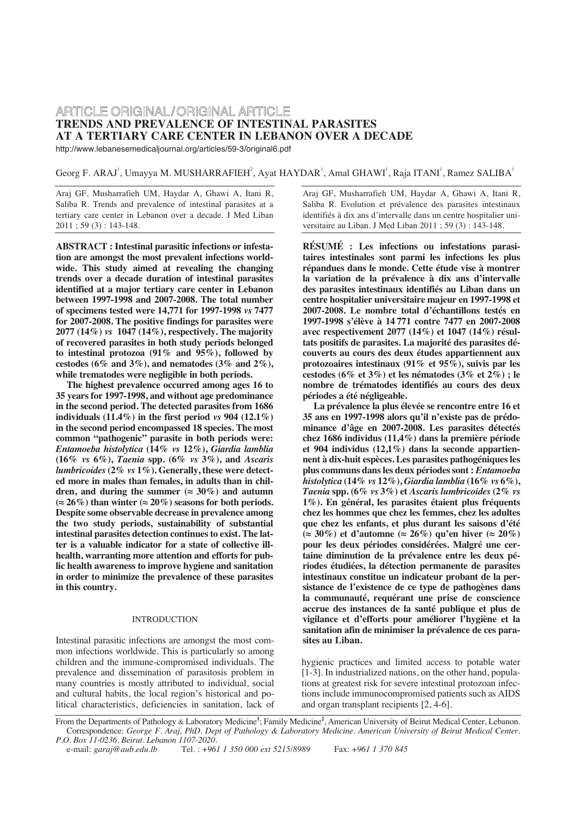# ARTICLE ORIGINAL/ORIGINAL ARTICLE **TRENDS AND PREVALENCE OF INTESTINAL PARASITES AT A TERTIARY CARE CENTER IN LEBANON OVER A DECADE**

http://www.lebanesemedicaljournal.org/articles/59-3/original6.pdf

Georg F. ARAJ', Umayya M. MUSHARRAFIEH<sup>2</sup>, Ayat HAYDAR<sup>1</sup>, Amal GHAWI<sup>1</sup>, Raja ITANI<sup>1</sup>, Ramez SALIBA<sup>1</sup>

Araj GF, Musharrafieh UM, Haydar A, Ghawi A, Itani R, Saliba R. Trends and prevalence of intestinal parasites at a tertiary care center in Lebanon over a decade. J Med Liban 2011 ; 59 (3) : 143-148.

**ABSTRACT : Intestinal parasitic infections or infestation are amongst the most prevalent infections worldwide. This study aimed at revealing the changing trends over a decade duration of intestinal parasites identified at a major tertiary care center in Lebanon between 1997-1998 and 2007-2008. The total number of specimens tested were 14,771 for 1997-1998** *vs* **7477 for 2007-2008. The positive findings for parasites were 2077 (14%)** *vs* **1047 (14%), respectively. The majority of recovered parasites in both study periods belonged to intestinal protozoa (91% and 95%), followed by cestodes (6% and 3%), and nematodes (3% and 2%), while trematodes were negligible in both periods.**

**The highest prevalence occurred among ages 16 to 35 years for 1997-1998, and without age predominance in the second period. The detected parasites from 1686 individuals (11.4%) in the first period** *vs* **904 (12.1%) in the second period encompassed 18 species. The most common "pathogenic" parasite in both periods were:** *Entamoeba histolytica* **(14%** *vs* **12%),** *Giardia lamblia* **(16%** *vs* **6%),** *Taenia* **spp. (6%** *vs* **3%), and** *Ascaris lumbricoides* **(2%** *vs* **1%). Generally, these were detected more in males than females, in adults than in chil**dren, and during the summer ( $\approx 30\%$ ) and autumn  $(≈ 26\%)$  than winter  $(≈ 20\%)$  seasons for both periods. **Despite some observable decrease in prevalence among the two study periods, sustainability of substantial intestinal parasites detection continues to exist. The latter is a valuable indicator for a state of collective illhealth, warranting more attention and efforts for public health awareness to improve hygiene and sanitation in order to minimize the prevalence of these parasites in this country.**

# INTRODUCTION

Intestinal parasitic infections are amongst the most common infections worldwide. This is particularly so among children and the immune-compromised individuals. The prevalence and dissemination of parasitosis problem in many countries is mostly attributed to individual, social and cultural habits, the local region's historical and political characteristics, deficiencies in sanitation, lack of Araj GF, Musharrafieh UM, Haydar A, Ghawi A, Itani R, Saliba R. Evolution et prévalence des parasites intestinaux identifiés à dix ans d'intervalle dans un centre hospitalier universitaire au Liban. J Med Liban 2011 ; 59 (3) : 143-148.

**RÉSUMÉ : Les infections ou infestations parasitaires intestinales sont parmi les infections les plus répandues dans le monde. Cette étude vise à montrer la variation de la prévalence à dix ans d'intervalle des parasites intestinaux identifiés au Liban dans un centre hospitalier universitaire majeur en 1997-1998 et 2007-2008. Le nombre total d'échantillons testés en 1997-1998 s'élève à 14 771 contre 7477 en 2007-2008 avec respectivement 2077 (14%) et 1047 (14%) résultats positifs de parasites. La majorité des parasites découverts au cours des deux études appartiennent aux protozoaires intestinaux (91% et 95%), suivis par les cestodes (6% et 3%) et les nématodes (3% et 2%) ; le nombre de trématodes identifiés au cours des deux périodes a été négligeable.**

**La prévalence la plus élevée se rencontre entre 16 et 35 ans en 1997-1998 alors qu'il n'existe pas de prédominance d'âge en 2007-2008. Les parasites détectés chez 1686 individus (11,4%) dans la première période et 904 individus (12,1%) dans la seconde appartiennent à dix-huit espèces. Les parasites pathogéniques les plus communs dans les deux périodes sont :** *Entamoeba histolytica* **(14%** *vs* **12%),** *Giardia lamblia* **(16%** *vs* **6%),** *Taenia* **spp. (6%** *vs* **3%) et** *Ascaris lumbricoides* **(2%** *vs* **1%). En général, les parasites étaient plus fréquents chez les hommes que chez les femmes, chez les adultes que chez les enfants, et plus durant les saisons d'été (≈ 30%) et d'automne (≈ 26%) qu'en hiver (≈ 20%) pour les deux périodes considérées. Malgré une certaine diminution de la prévalence entre les deux périodes étudiées, la détection permanente de parasites intestinaux constitue un indicateur probant de la persistance de l'existence de ce type de pathogènes dans la communauté, requérant une prise de conscience accrue des instances de la santé publique et plus de vigilance et d'efforts pour améliorer l'hygiène et la sanitation afin de minimiser la prévalence de ces parasites au Liban.** 

hygienic practices and limited access to potable water [1-3]. In industrialized nations, on the other hand, populations at greatest risk for severe intestinal protozoan infections include immunocompromised patients such as AIDS and organ transplant recipients [2, 4-6].

From the Departments of Pathology & Laboratory Medicine**<sup>1</sup>** ; Family Medicine**<sup>2</sup>** , American University of Beirut Medical Center, Lebanon. Correspondence: *George F. Araj, PhD. Dept of Pathology & Laboratory Medicine. American University of Beirut Medical Center. P.O. Box 11-0236. Beirut. Lebanon 1107-2020.*

Tel.: +961 1 350 000 ext 5215/8989 Fax: +961 1 370 845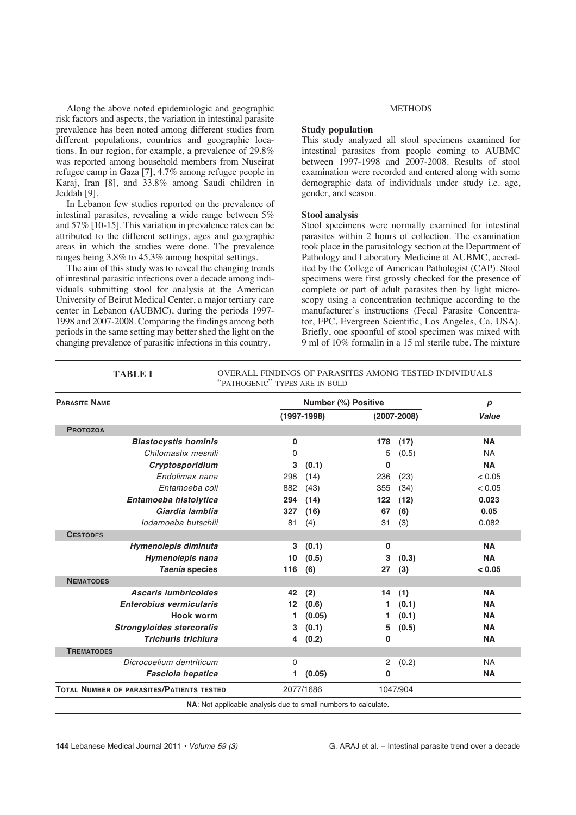Along the above noted epidemiologic and geographic risk factors and aspects, the variation in intestinal parasite prevalence has been noted among different studies from different populations, countries and geographic locations. In our region, for example, a prevalence of 29.8% was reported among household members from Nuseirat refugee camp in Gaza [7], 4.7% among refugee people in Karaj, Iran [8], and 33.8% among Saudi children in Jeddah [9].

In Lebanon few studies reported on the prevalence of intestinal parasites, revealing a wide range between 5% and 57% [10-15]. This variation in prevalence rates can be attributed to the different settings, ages and geographic areas in which the studies were done. The prevalence ranges being 3.8% to 45.3% among hospital settings.

The aim of this study was to reveal the changing trends of intestinal parasitic infections over a decade among individuals submitting stool for analysis at the American University of Beirut Medical Center, a major tertiary care center in Lebanon (AUBMC), during the periods 1997- 1998 and 2007-2008. Comparing the findings among both periods in the same setting may better shed the light on the changing prevalence of parasitic infections in this country.

#### METHODS

## **Study population**

This study analyzed all stool specimens examined for intestinal parasites from people coming to AUBMC between 1997-1998 and 2007-2008. Results of stool examination were recorded and entered along with some demographic data of individuals under study i.e. age, gender, and season.

# **Stool analysis**

Stool specimens were normally examined for intestinal parasites within 2 hours of collection. The examination took place in the parasitology section at the Department of Pathology and Laboratory Medicine at AUBMC, accredited by the College of American Pathologist (CAP). Stool specimens were first grossly checked for the presence of complete or part of adult parasites then by light microscopy using a concentration technique according to the manufacturer's instructions (Fecal Parasite Concentrator, FPC, Evergreen Scientific, Los Angeles, Ca, USA). Briefly, one spoonful of stool specimen was mixed with 9 ml of 10% formalin in a 15 ml sterile tube. The mixture

| <b>PARASITE NAME</b>                      | Number (%) Positive |           |                 |          |           |
|-------------------------------------------|---------------------|-----------|-----------------|----------|-----------|
|                                           | $(1997-1998)$       |           | $(2007 - 2008)$ |          | Value     |
| <b>PROTOZOA</b>                           |                     |           |                 |          |           |
| <b>Blastocystis hominis</b>               | 0                   |           | 178             | (17)     | <b>NA</b> |
| Chilomastix mesnili                       | 0                   |           | 5               | (0.5)    | <b>NA</b> |
| Cryptosporidium                           | 3                   | (0.1)     | 0               |          | <b>NA</b> |
| Endolimax nana                            | 298                 | (14)      | 236             | (23)     | < 0.05    |
| Entamoeba coli                            | 882                 | (43)      | 355             | (34)     | < 0.05    |
| Entamoeba histolytica                     | 294                 | (14)      | 122             | (12)     | 0.023     |
| Giardia lamblia                           | 327                 | (16)      | 67              | (6)      | 0.05      |
| lodamoeba butschlij                       | 81                  | (4)       | 31              | (3)      | 0.082     |
| <b>CESTODES</b>                           |                     |           |                 |          |           |
| Hymenolepis diminuta                      | 3                   | (0.1)     | 0               |          | <b>NA</b> |
| Hymenolepis nana                          | 10                  | (0.5)     | 3               | (0.3)    | <b>NA</b> |
| Taenia species                            | 116                 | (6)       | 27              | (3)      | < 0.05    |
| <b>NEMATODES</b>                          |                     |           |                 |          |           |
| <b>Ascaris lumbricoides</b>               | 42                  | (2)       | 14              | (1)      | <b>NA</b> |
| <b>Enterobius vermicularis</b>            | 12                  | (0.6)     | 1               | (0.1)    | <b>NA</b> |
| <b>Hook worm</b>                          | 1                   | (0.05)    | 1.              | (0.1)    | <b>NA</b> |
| <b>Strongyloides stercoralis</b>          | 3                   | (0.1)     | 5               | (0.5)    | <b>NA</b> |
| Trichuris trichiura                       | 4                   | (0.2)     | 0               |          | <b>NA</b> |
| <b>TREMATODES</b>                         |                     |           |                 |          |           |
| Dicrocoelium dentriticum                  | 0                   |           | 2               | (0.2)    | <b>NA</b> |
| <b>Fasciola hepatica</b>                  | 1                   | (0.05)    | 0               |          | <b>NA</b> |
| TOTAL NUMBER OF PARASITES/PATIENTS TESTED |                     | 2077/1686 |                 | 1047/904 |           |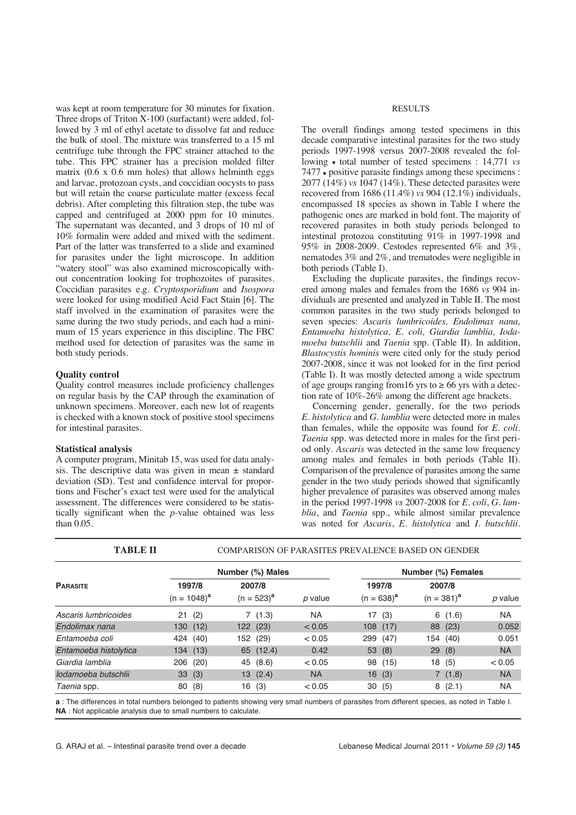was kept at room temperature for 30 minutes for fixation. Three drops of Triton X-100 (surfactant) were added, followed by 3 ml of ethyl acetate to dissolve fat and reduce the bulk of stool. The mixture was transferred to a 15 ml centrifuge tube through the FPC strainer attached to the tube. This FPC strainer has a precision molded filter matrix (0.6 x 0.6 mm holes) that allows helminth eggs and larvae, protozoan cysts, and coccidian oocysts to pass but will retain the coarse particulate matter (excess fecal debris). After completing this filtration step, the tube was capped and centrifuged at 2000 ppm for 10 minutes. The supernatant was decanted, and 3 drops of 10 ml of 10% formalin were added and mixed with the sediment. Part of the latter was transferred to a slide and examined for parasites under the light microscope. In addition "watery stool" was also examined microscopically without concentration looking for trophozoites of parasites. Coccidian parasites e.g. *Cryptosporidium* and *Isospora* were looked for using modified Acid Fact Stain [6]. The staff involved in the examination of parasites were the same during the two study periods, and each had a minimum of 15 years experience in this discipline. The FBC method used for detection of parasites was the same in both study periods.

# **Quality control**

Quality control measures include proficiency challenges on regular basis by the CAP through the examination of unknown specimens. Moreover, each new lot of reagents is checked with a known stock of positive stool specimens for intestinal parasites.

# **Statistical analysis**

A computer program, Minitab 15, was used for data analysis. The descriptive data was given in mean ± standard deviation (SD). Test and confidence interval for proportions and Fischer's exact test were used for the analytical assessment. The differences were considered to be statistically significant when the *p*-value obtained was less than 0.05.

**TABLE II** 

#### RESULTS

The overall findings among tested specimens in this decade comparative intestinal parasites for the two study periods 1997-1998 versus 2007-2008 revealed the following • total number of tested specimens : 14,771 *vs* 7477 • positive parasite findings among these specimens : 2077 (14%) *vs* 1047 (14%). These detected parasites were recovered from 1686 (11.4%) *vs* 904 (12.1%) individuals, encompassed 18 species as shown in Table I where the pathogenic ones are marked in bold font. The majority of recovered parasites in both study periods belonged to intestinal protozoa constituting 91% in 1997-1998 and 95% in 2008-2009. Cestodes represented 6% and 3%, nematodes 3% and 2%, and trematodes were negligible in both periods (Table I).

Excluding the duplicate parasites, the findings recovered among males and females from the 1686 *vs* 904 individuals are presented and analyzed in Table II. The most common parasites in the two study periods belonged to seven species: *Ascaris lumbricoides, Endolimax nana, Entamoeba histolytica, E. coli, Giardia lamblia, Iodamoeba butschlii* and *Taenia* spp. (Table II). In addition, *Blastocystis hominis* were cited only for the study period 2007-2008, since it was not looked for in the first period (Table I). It was mostly detected among a wide spectrum of age groups ranging from 16 yrs to  $\geq$  66 yrs with a detection rate of 10%-26% among the different age brackets.

Concerning gender, generally, for the two periods *E. histolytica* and *G. lamblia* were detected more in males than females, while the opposite was found for *E. coli*. *Taenia* spp. was detected more in males for the first period only. *Ascaris* was detected in the same low frequency among males and females in both periods (Table II). Comparison of the prevalence of parasites among the same gender in the two study periods showed that significantly higher prevalence of parasites was observed among males in the period 1997-1998 *vs* 2007-2008 for *E. coli*, *G. lamblia*, and *Taenia* spp., while almost similar prevalence was noted for *Ascaris*, *E. histolytica* and *I. butschlii*.

| ТАВLЕ П               |                          | COMPARISON OF PARASITES PREVALENCE BASED ON GENDER |           |                           |                           |           |  |  |  |  |
|-----------------------|--------------------------|----------------------------------------------------|-----------|---------------------------|---------------------------|-----------|--|--|--|--|
|                       |                          | Number (%) Males                                   |           | Number (%) Females        |                           |           |  |  |  |  |
| <b>PARASITE</b>       | 1997/8<br>$(n = 1048)^a$ | 2007/8<br>$(n = 523)^{a}$                          | p value   | 1997/8<br>$(n = 638)^{a}$ | 2007/8<br>$(n = 381)^{a}$ | p value   |  |  |  |  |
| Ascaris lumbricoides  | 21(2)                    | 7(1.3)                                             | NA        | (3)<br>17                 | (1.6)<br>6                | NA.       |  |  |  |  |
| Endolimax nana        | 130 (12)                 | 122 (23)                                           | < 0.05    | 108(17)                   | (23)<br>88                | 0.052     |  |  |  |  |
| Entamoeba coli        | 424 (40)                 | 152 (29)                                           | < 0.05    | 299 (47)                  | 154<br>(40)               | 0.051     |  |  |  |  |
| Entamoeba histolytica | 134 (13)                 | 65 (12.4)                                          | 0.42      | 53 (8)                    | 29(8)                     | NA.       |  |  |  |  |
| Giardia lamblia       | 206 (20)                 | 45 (8.6)                                           | < 0.05    | 98 (15)                   | 18 (5)                    | < 0.05    |  |  |  |  |
| lodamoeba butschlij   | 33(3)                    | 13(2.4)                                            | <b>NA</b> | 16(3)                     | 7(1.8)                    | <b>NA</b> |  |  |  |  |
| Taenia spp.           | 80(8)                    | 16<br>(3)                                          | < 0.05    | 30(5)                     | (2.1)<br>8                | <b>NA</b> |  |  |  |  |

COMPARISON OF PARASITES PREVALENCE BASED ON GENDER

**a** : The differences in total numbers belonged to patients showing very small numbers of parasites from different species, as noted in Table I. **NA** : Not applicable analysis due to small numbers to calculate.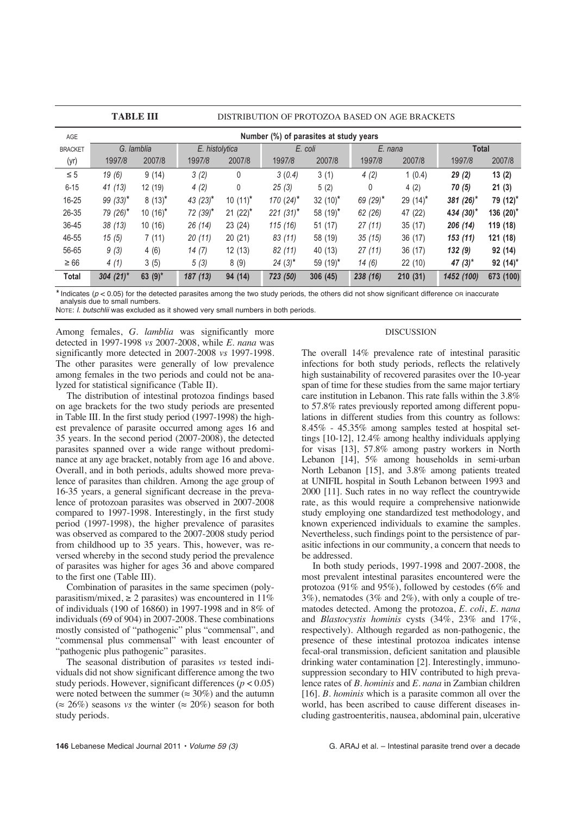|                | <b>TABLE III</b><br>DISTRIBUTION OF PROTOZOA BASED ON AGE BRACKETS |            |                |              |             |             |             |             |                |              |
|----------------|--------------------------------------------------------------------|------------|----------------|--------------|-------------|-------------|-------------|-------------|----------------|--------------|
| AGE            | Number (%) of parasites at study years                             |            |                |              |             |             |             |             |                |              |
| <b>BRACKET</b> | G. lamblia                                                         |            | E. histolytica |              | E. coli     |             | E. nana     |             | <b>Total</b>   |              |
| (yr)           | 1997/8                                                             | 2007/8     | 1997/8         | 2007/8       | 1997/8      | 2007/8      | 1997/8      | 2007/8      | 1997/8         | 2007/8       |
| $\leq 5$       | 19(6)                                                              | 9(14)      | 3(2)           | 0            | 3(0.4)      | 3(1)        | 4(2)        | 1(0.4)      | 29(2)          | 13(2)        |
| $6 - 15$       | 41(13)                                                             | 12 (19)    | 4(2)           | $\mathbf{0}$ | 25(3)       | 5(2)        | 0           | 4(2)        | 70(5)          | 21(3)        |
| $16 - 25$      | 99 $(33)^*$                                                        | $8(13)^*$  | 43 $(23)^{*}$  | $10(11)^*$   | $170(24)^*$ | 32 $(10)^*$ | 69 $(29)^*$ | 29 $(14)^*$ | 381 $(26)^*$   | 79 (12)*     |
| 26-35          | $79(26)$ *                                                         | $10(16)^*$ | 72 (39)*       | $21 (22)^*$  | $221(31)^*$ | 58 $(19)^*$ | 62 (26)     | 47 (22)     | 434 $(30)^{*}$ | 136 $(20)^*$ |
| 36-45          | 38(13)                                                             | 10(16)     | 26(14)         | 23(24)       | 115(16)     | 51(17)      | 27(11)      | 35(17)      | 206(14)        | 119 (18)     |
| 46-55          | 15(5)                                                              | 7(11)      | 20(11)         | 20(21)       | 83 (11)     | 58 (19)     | 35(15)      | 36(17)      | 153(11)        | 121 (18)     |
| 56-65          | 9(3)                                                               | 4(6)       | 14(7)          | 12(13)       | 82 (11)     | 40 (13)     | 27(11)      | 36(17)      | 132(9)         | 92 (14)      |
| $\geq 66$      | 4(1)                                                               | 3(5)       | 5(3)           | 8(9)         | $24(3)^*$   | 59 $(19)^*$ | 14(6)       | 22(10)      | 47 $(3)^*$     | $92(14)^*$   |
| <b>Total</b>   | 304 $(21)^*$                                                       | 63 $(9)^*$ | 187(13)        | 94 (14)      | 723 (50)    | 306(45)     | 238 (16)    | 210(31)     | 1452 (100)     | 673 (100)    |

*\** Indicates (<sup>p</sup> < 0.05) for the detected parasites among the two study periods, the others did not show significant difference OR inaccurate analysis due to small numbers.

NOTE: *I. butschlii* was excluded as it showed very small numbers in both periods.

Among females, *G. lamblia* was significantly more detected in 1997-1998 *vs* 2007-2008, while *E. nana* was significantly more detected in 2007-2008 *vs* 1997-1998. The other parasites were generally of low prevalence among females in the two periods and could not be analyzed for statistical significance (Table II).

The distribution of intestinal protozoa findings based on age brackets for the two study periods are presented in Table III. In the first study period (1997-1998) the highest prevalence of parasite occurred among ages 16 and 35 years. In the second period (2007-2008), the detected parasites spanned over a wide range without predominance at any age bracket, notably from age 16 and above. Overall, and in both periods, adults showed more prevalence of parasites than children. Among the age group of 16-35 years, a general significant decrease in the prevalence of protozoan parasites was observed in 2007-2008 compared to 1997-1998. Interestingly, in the first study period (1997-1998), the higher prevalence of parasites was observed as compared to the 2007-2008 study period from childhood up to 35 years. This, however, was reversed whereby in the second study period the prevalence of parasites was higher for ages 36 and above compared to the first one (Table III).

Combination of parasites in the same specimen (polyparasitism/mixed,  $\geq 2$  parasites) was encountered in 11% of individuals (190 of 16860) in 1997-1998 and in 8% of individuals (69 of 904) in 2007-2008. These combinations mostly consisted of "pathogenic" plus "commensal", and "commensal plus commensal" with least encounter of "pathogenic plus pathogenic" parasites.

The seasonal distribution of parasites *vs* tested individuals did not show significant difference among the two study periods. However, significant differences (*p* < 0.05) were noted between the summer ( $\approx 30\%$ ) and the autumn  $(\approx 26\%)$  seasons *vs* the winter  $(\approx 20\%)$  season for both study periods.

# DISCUSSION

The overall 14% prevalence rate of intestinal parasitic infections for both study periods, reflects the relatively high sustainability of recovered parasites over the 10-year span of time for these studies from the same major tertiary care institution in Lebanon. This rate falls within the 3.8% to 57.8% rates previously reported among different populations in different studies from this country as follows: 8.45% - 45.35% among samples tested at hospital settings [10-12], 12.4% among healthy individuals applying for visas [13], 57.8% among pastry workers in North Lebanon [14], 5% among households in semi-urban North Lebanon [15], and 3.8% among patients treated at UNIFIL hospital in South Lebanon between 1993 and 2000 [11]. Such rates in no way reflect the countrywide rate, as this would require a comprehensive nationwide study employing one standardized test methodology, and known experienced individuals to examine the samples. Nevertheless, such findings point to the persistence of parasitic infections in our community, a concern that needs to be addressed.

In both study periods, 1997-1998 and 2007-2008, the most prevalent intestinal parasites encountered were the protozoa (91% and 95%), followed by cestodes (6% and 3%), nematodes (3% and 2%), with only a couple of trematodes detected. Among the protozoa, *E. coli*, *E. nana* and *Blastocystis hominis* cysts (34%, 23% and 17%, respectively). Although regarded as non-pathogenic, the presence of these intestinal protozoa indicates intense fecal-oral transmission, deficient sanitation and plausible drinking water contamination [2]. Interestingly, immunosuppression secondary to HIV contributed to high prevalence rates of *B. hominis* and *E. nana* in Zambian children [16]. *B. hominis* which is a parasite common all over the world, has been ascribed to cause different diseases including gastroenteritis, nausea, abdominal pain, ulcerative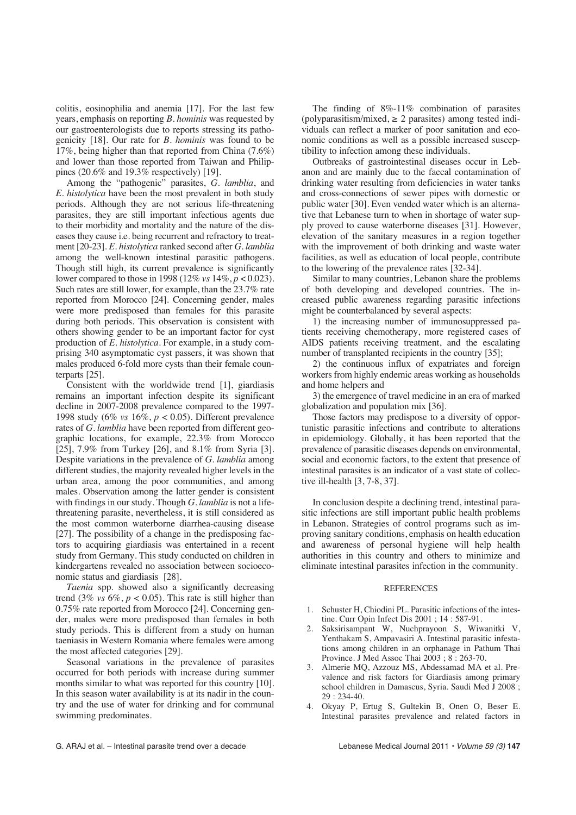colitis, eosinophilia and anemia [17]. For the last few years, emphasis on reporting *B. hominis* was requested by our gastroenterologists due to reports stressing its pathogenicity [18]. Our rate for *B. hominis* was found to be 17%, being higher than that reported from China (7.6%) and lower than those reported from Taiwan and Philippines (20.6% and 19.3% respectively) [19].

Among the "pathogenic" parasites, *G. lamblia*, and *E. histolytica* have been the most prevalent in both study periods. Although they are not serious life-threatening parasites, they are still important infectious agents due to their morbidity and mortality and the nature of the diseases they cause i.e. being recurrent and refractory to treatment [20-23]. *E. histolytica* ranked second after *G. lamblia* among the well-known intestinal parasitic pathogens. Though still high, its current prevalence is significantly lower compared to those in 1998 (12% *vs* 14%, *p* < 0.023). Such rates are still lower, for example, than the 23.7% rate reported from Morocco [24]. Concerning gender, males were more predisposed than females for this parasite during both periods. This observation is consistent with others showing gender to be an important factor for cyst production of *E. histolytica*. For example, in a study comprising 340 asymptomatic cyst passers, it was shown that males produced 6-fold more cysts than their female counterparts [25].

Consistent with the worldwide trend [1], giardiasis remains an important infection despite its significant decline in 2007-2008 prevalence compared to the 1997- 1998 study (6% *vs* 16%, *p* < 0.05). Different prevalence rates of *G. lamblia* have been reported from different geographic locations, for example, 22.3% from Morocco [25], 7.9% from Turkey [26], and  $8.1\%$  from Syria [3]. Despite variations in the prevalence of *G. lamblia* among different studies, the majority revealed higher levels in the urban area, among the poor communities, and among males. Observation among the latter gender is consistent with findings in our study. Though *G. lamblia* is not a lifethreatening parasite, nevertheless, it is still considered as the most common waterborne diarrhea-causing disease [27]. The possibility of a change in the predisposing factors to acquiring giardiasis was entertained in a recent study from Germany. This study conducted on children in kindergartens revealed no association between socioeconomic status and giardiasis [28].

*Taenia* spp. showed also a significantly decreasing trend (3%  $vs$  6%,  $p < 0.05$ ). This rate is still higher than 0.75% rate reported from Morocco [24]. Concerning gender, males were more predisposed than females in both study periods. This is different from a study on human taeniasis in Western Romania where females were among the most affected categories [29].

Seasonal variations in the prevalence of parasites occurred for both periods with increase during summer months similar to what was reported for this country [10]. In this season water availability is at its nadir in the country and the use of water for drinking and for communal swimming predominates.

The finding of 8%-11% combination of parasites (polyparasitism/mixed,  $\geq$  2 parasites) among tested individuals can reflect a marker of poor sanitation and economic conditions as well as a possible increased susceptibility to infection among these individuals.

Outbreaks of gastrointestinal diseases occur in Lebanon and are mainly due to the faecal contamination of drinking water resulting from deficiencies in water tanks and cross-connections of sewer pipes with domestic or public water [30]. Even vended water which is an alternative that Lebanese turn to when in shortage of water supply proved to cause waterborne diseases [31]. However, elevation of the sanitary measures in a region together with the improvement of both drinking and waste water facilities, as well as education of local people, contribute to the lowering of the prevalence rates [32-34].

Similar to many countries, Lebanon share the problems of both developing and developed countries. The increased public awareness regarding parasitic infections might be counterbalanced by several aspects:

1) the increasing number of immunosuppressed patients receiving chemotherapy, more registered cases of AIDS patients receiving treatment, and the escalating number of transplanted recipients in the country [35];

2) the continuous influx of expatriates and foreign workers from highly endemic areas working as households and home helpers and

3) the emergence of travel medicine in an era of marked globalization and population mix [36].

Those factors may predispose to a diversity of opportunistic parasitic infections and contribute to alterations in epidemiology. Globally, it has been reported that the prevalence of parasitic diseases depends on environmental, social and economic factors, to the extent that presence of intestinal parasites is an indicator of a vast state of collective ill-health [3, 7-8, 37].

In conclusion despite a declining trend, intestinal parasitic infections are still important public health problems in Lebanon. Strategies of control programs such as improving sanitary conditions, emphasis on health education and awareness of personal hygiene will help health authorities in this country and others to minimize and eliminate intestinal parasites infection in the community.

# **REFERENCES**

- 1. Schuster H, Chiodini PL. Parasitic infections of the intestine. Curr Opin Infect Dis 2001 ; 14 : 587-91.
- 2. Saksirisampant W, Nuchprayoon S, Wiwanitki V, Yenthakam S, Ampavasiri A. Intestinal parasitic infestations among children in an orphanage in Pathum Thai Province. J Med Assoc Thai 2003 ; 8 : 263-70.
- 3. Almerie MQ, Azzouz MS, Abdessamad MA et al. Prevalence and risk factors for Giardiasis among primary school children in Damascus, Syria. Saudi Med J 2008 ; 29 : 234-40.
- 4. Okyay P, Ertug S, Gultekin B, Onen O, Beser E. Intestinal parasites prevalence and related factors in